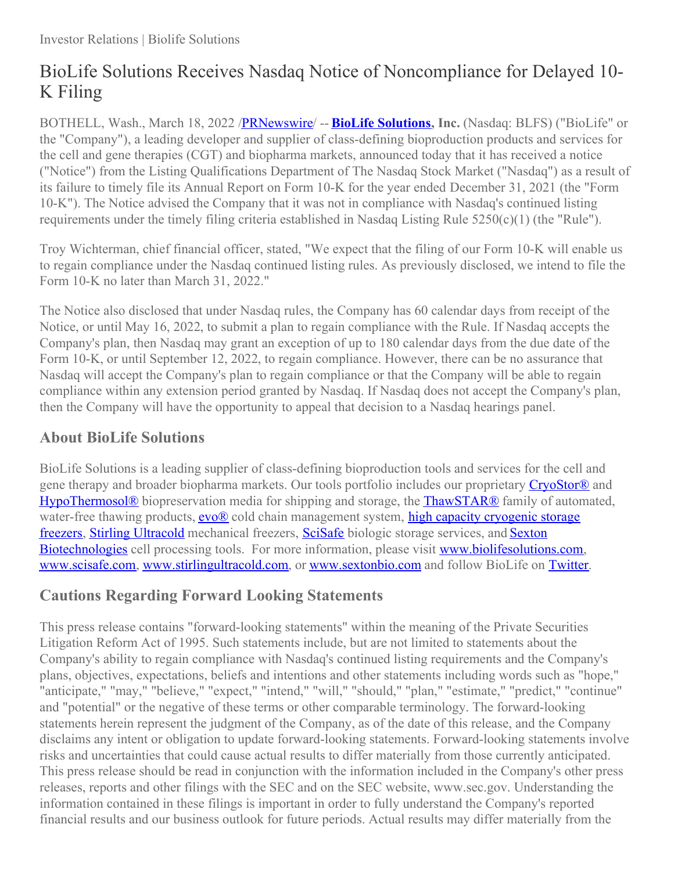## BioLife Solutions Receives Nasdaq Notice of Noncompliance for Delayed 10- K Filing

BOTHELL, Wash., March 18, 2022 [/PRNewswire](http://www.prnewswire.com/)/ -- **BioLife [Solutions](https://c212.net/c/link/?t=0&l=en&o=3477953-1&h=2238465264&u=http%3A%2F%2Fwww.biolifesolutions.com%2F&a=BioLife+Solutions), Inc.** (Nasdaq: BLFS) ("BioLife" or the "Company"), a leading developer and supplier of class-defining bioproduction products and services for the cell and gene therapies (CGT) and biopharma markets, announced today that it has received a notice ("Notice") from the Listing Qualifications Department of The Nasdaq Stock Market ("Nasdaq") as a result of its failure to timely file its Annual Report on Form 10-K for the year ended December 31, 2021 (the "Form 10-K"). The Notice advised the Company that it was not in compliance with Nasdaq's continued listing requirements under the timely filing criteria established in Nasdaq Listing Rule 5250(c)(1) (the "Rule").

Troy Wichterman, chief financial officer, stated, "We expect that the filing of our Form 10-K will enable us to regain compliance under the Nasdaq continued listing rules. As previously disclosed, we intend to file the Form 10-K no later than March 31, 2022."

The Notice also disclosed that under Nasdaq rules, the Company has 60 calendar days from receipt of the Notice, or until May 16, 2022, to submit a plan to regain compliance with the Rule. If Nasdaq accepts the Company's plan, then Nasdaq may grant an exception of up to 180 calendar days from the due date of the Form 10-K, or until September 12, 2022, to regain compliance. However, there can be no assurance that Nasdaq will accept the Company's plan to regain compliance or that the Company will be able to regain compliance within any extension period granted by Nasdaq. If Nasdaq does not accept the Company's plan, then the Company will have the opportunity to appeal that decision to a Nasdaq hearings panel.

## **About BioLife Solutions**

BioLife Solutions is a leading supplier of class-defining bioproduction tools and services for the cell and gene therapy and broader biopharma markets. Our tools portfolio includes our proprietary [CryoStor®](https://c212.net/c/link/?t=0&l=en&o=3477953-1&h=2373026903&u=https%3A%2F%2Fc212.net%2Fc%2Flink%2F%3Ft%3D0%26l%3Den%26o%3D3250345-1%26h%3D3551051546%26u%3Dhttps%253A%252F%252Fwww.biolifesolutions.com%252Fproduct-category%252Fcryostor%252F%26a%3DCryoStor&a=CryoStor%C2%AE) and [HypoThermosol®](https://c212.net/c/link/?t=0&l=en&o=3477953-1&h=4094473911&u=https%3A%2F%2Fwww.biolifesolutions.com%2Fbiopreservation-media%2Fhypothermosol%2F&a=HypoThermosol%C2%AE) biopreservation media for shipping and storage, the [ThawSTAR®](https://c212.net/c/link/?t=0&l=en&o=3477953-1&h=4182203962&u=https%3A%2F%2Fc212.net%2Fc%2Flink%2F%3Ft%3D0%26l%3Den%26o%3D3250345-1%26h%3D3971738413%26u%3Dhttps%253A%252F%252Fwww.biolifesolutions.com%252Fprecision-thawing-solutions%252F%26a%3DThawSTAR&a=ThawSTAR%C2%AE) family of automated, water-free thawing products, evo<sup>®</sup> cold chain [management](https://c212.net/c/link/?t=0&l=en&o=3477953-1&h=3643740661&u=https%3A%2F%2Fwww.biolifesolutions.com%2Fcryogenic-storage%2Fcontrolled-rate-freezers%2F&a=high+capacity+cryogenic+storage+freezers) system, high capacity cryogenic storage freezers, Stirling [Ultracold](https://c212.net/c/link/?t=0&l=en&o=3477953-1&h=3957323165&u=https%3A%2F%2Fc212.net%2Fc%2Flink%2F%3Ft%3D0%26l%3Den%26o%3D3250345-1%26h%3D3586645932%26u%3Dhttps%253A%252F%252Fwww.stirlingultracold.com%252F%26a%3DStirling%2BUltracold&a=Stirling+Ultracold) mechanical freezers, [SciSafe](https://c212.net/c/link/?t=0&l=en&o=3477953-1&h=1360833617&u=https%3A%2F%2Fc212.net%2Fc%2Flink%2F%3Ft%3D0%26l%3Den%26o%3D3250345-1%26h%3D1960255379%26u%3Dhttp%253A%252F%252Fwww.scisafe.com%252F%26a%3DSciSafe&a=SciSafe) biologic storage services, and Sexton Biotechnologies cell processing tools. For more information, please visit [www.biolifesolutio](https://c212.net/c/link/?t=0&l=en&o=3477953-1&h=1811261254&u=https%3A%2F%2Fsextonbio.com%2F&a=Sexton+Biotechnologies)[ns.com](https://c212.net/c/link/?t=0&l=en&o=3477953-1&h=1394393639&u=https%3A%2F%2Fc212.net%2Fc%2Flink%2F%3Ft%3D0%26l%3Den%26o%3D3335409-1%26h%3D3220119681%26u%3Dhttp%253A%252F%252Fwww.biolifesolutions.com%252F%26a%3Dwww.biolifesolutions.com&a=www.biolifesolutions.com), [www.scisafe.com](https://c212.net/c/link/?t=0&l=en&o=3477953-1&h=2527145916&u=https%3A%2F%2Fc212.net%2Fc%2Flink%2F%3Ft%3D0%26l%3Den%26o%3D3335409-1%26h%3D3526603017%26u%3Dhttp%253A%252F%252Fwww.scisafe.com%252F%26a%3Dwww.scisafe.com&a=www.scisafe.com), [www.stirlingultracold.com](https://c212.net/c/link/?t=0&l=en&o=3477953-1&h=4184596214&u=https%3A%2F%2Fc212.net%2Fc%2Flink%2F%3Ft%3D0%26l%3Den%26o%3D3335409-1%26h%3D1621122066%26u%3Dhttp%253A%252F%252Fwww.stirlingultracold.com%252F%26a%3Dwww.stirlingultracold.com&a=www.stirlingultracold.com), or [www.sextonbio.com](https://c212.net/c/link/?t=0&l=en&o=3477953-1&h=4289366790&u=http%3A%2F%2Fwww.sextonbio.com%2F&a=www.sextonbio.com) and follow BioLife on [Twitter](https://c212.net/c/link/?t=0&l=en&o=3477953-1&h=2464340639&u=https%3A%2F%2Fc212.net%2Fc%2Flink%2F%3Ft%3D0%26l%3Den%26o%3D3335409-1%26h%3D1711908028%26u%3Dhttps%253A%252F%252Ftwitter.com%252Fbiolifesol%26a%3DTwitter&a=Twitter).

## **Cautions Regarding Forward Looking Statements**

This press release contains "forward-looking statements" within the meaning of the Private Securities Litigation Reform Act of 1995. Such statements include, but are not limited to statements about the Company's ability to regain compliance with Nasdaq's continued listing requirements and the Company's plans, objectives, expectations, beliefs and intentions and other statements including words such as "hope," "anticipate," "may," "believe," "expect," "intend," "will," "should," "plan," "estimate," "predict," "continue" and "potential" or the negative of these terms or other comparable terminology. The forward-looking statements herein represent the judgment of the Company, as of the date of this release, and the Company disclaims any intent or obligation to update forward-looking statements. Forward-looking statements involve risks and uncertainties that could cause actual results to differ materially from those currently anticipated. This press release should be read in conjunction with the information included in the Company's other press releases, reports and other filings with the SEC and on the SEC website, www.sec.gov. Understanding the information contained in these filings is important in order to fully understand the Company's reported financial results and our business outlook for future periods. Actual results may differ materially from the